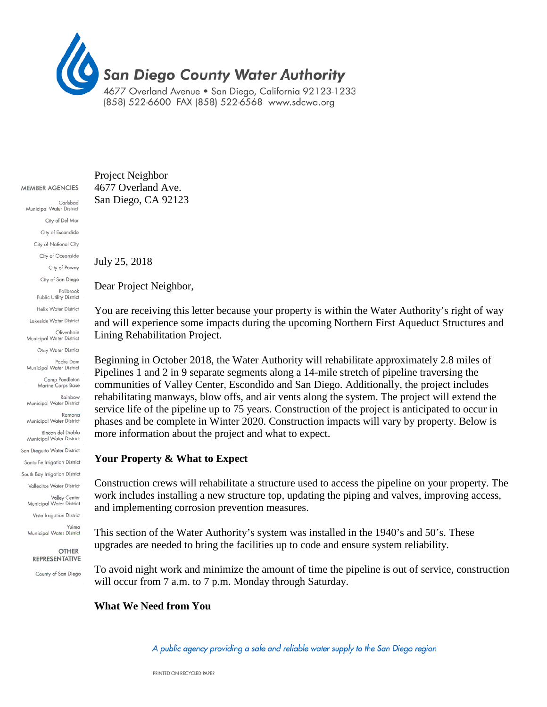

#### MEMBER AGENCIES

Carlsbad Municipal Water District City of Del Mar City of Escondido City of National City City of Oceanside City of Poway City of San Diego Fallbrook Public Utility District **Helix Water District** Lakeside Water District Olivenhain Municipal Water District Otay Water District Padre Dam Municipal Water District Camp Pendleton Marine Corps Base Rainbow Municipal Water District Ramona Municipal Water District Rincon del Diablo Municipal Water District San Dieguito Water District Santa Fe Irrigation District South Bay Irrigation District Vallecitos Water District Valley Center Municipal Water District Vista Irrigation District Yuima Municipal Water District

#### **OTHER** REPRESENTATIVE

County of San Diego

#### Project Neighbor 4677 Overland Ave. San Diego, CA 92123

July 25, 2018

Dear Project Neighbor,

You are receiving this letter because your property is within the Water Authority's right of way and will experience some impacts during the upcoming Northern First Aqueduct Structures and Lining Rehabilitation Project.

Beginning in October 2018, the Water Authority will rehabilitate approximately 2.8 miles of Pipelines 1 and 2 in 9 separate segments along a 14-mile stretch of pipeline traversing the communities of Valley Center, Escondido and San Diego. Additionally, the project includes rehabilitating manways, blow offs, and air vents along the system. The project will extend the service life of the pipeline up to 75 years. Construction of the project is anticipated to occur in phases and be complete in Winter 2020. Construction impacts will vary by property. Below is more information about the project and what to expect.

#### **Your Property & What to Expect**

Construction crews will rehabilitate a structure used to access the pipeline on your property. The work includes installing a new structure top, updating the piping and valves, improving access, and implementing corrosion prevention measures.

This section of the Water Authority's system was installed in the 1940's and 50's. These upgrades are needed to bring the facilities up to code and ensure system reliability.

To avoid night work and minimize the amount of time the pipeline is out of service, construction will occur from 7 a.m. to 7 p.m. Monday through Saturday.

#### **What We Need from You**

A public agency providing a safe and reliable water supply to the San Diego region